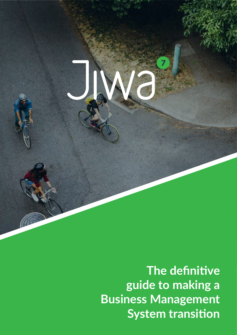**The definitive guide to making a Business Management System transition**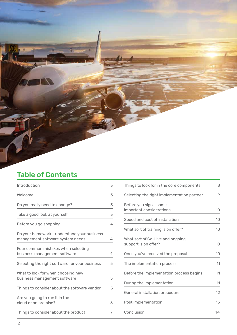## Table of Contents

| Introduction                                                                     | 3              |
|----------------------------------------------------------------------------------|----------------|
| Welcome                                                                          | 3              |
| Do you really need to change?                                                    | 3              |
| Take a good look at yourself                                                     | 3              |
| Before you go shopping                                                           | $\overline{4}$ |
| Do your homework - understand your business<br>management software system needs. | 4              |
| Four common mistakes when selecting<br>business management software              | 4              |
| Selecting the right software for your business                                   | 5              |
| What to look for when choosing new<br>business management software               | 5              |
| Things to consider about the software vendor                                     | 5              |
| Are you going to run it in the<br>cloud or on premise?                           | 6              |
| Things to consider about the product                                             | 7              |

| Things to look for in the core components                | 8  |
|----------------------------------------------------------|----|
| Selecting the right implementation partner               | 9  |
| Before you sign - some<br>important considerations       | 10 |
| Speed and cost of installation                           | 10 |
| What sort of training is on offer?                       | 10 |
| What sort of Go-Live and ongoing<br>support is on offer? | 10 |
| Once you've received the proposal                        | 10 |
| The implementation process                               | 11 |
| Before the implementation process begins                 | 11 |
| During the implementation                                | 11 |
| General installation procedure                           | 12 |
| Post implementation                                      | 13 |
| Conclusion                                               | 14 |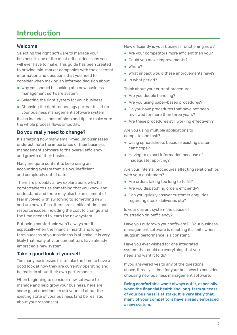## Introduction

## Welcome

Selecting the right software to manage your business is one of the most critical decisions you will ever have to make. This guide has been created to provide mid-market companies with the essential information and questions that you need to consider when making an informed decision about:

- Why you should be looking at a new business management software system
- Selecting the right system for your business
- Choosing the right technology partner to set up your business management software system

It also includes a host of hints and tips to make sure the whole process flows smoothly.

## Do you really need to change?

It's amazing how many small-medium businesses underestimate the importance of their business management software to the overall efficiency and growth of their business.

Many are quite content to keep using an accounting system that is slow, inefficient and completely out of date.

There are probably a few explanations why. It's comfortable to use something that you know and understand and there may also be an element of fear involved with switching to something new and unknown. Plus, there are significant time and resource issues, including the cost to change and the time needed to learn the new system.

But being comfortable won't always cut it, especially when the financial health and longterm success of your business is at stake. It is very likely that many of your competitors have already embraced a new system.

## Take a good look at yourself

Too many businesses fail to take the time to have a good look at how they are currently operating and be realistic about their own performance.

When beginning to consider new software to manage and help grow your business, here are some good questions to ask yourself about the existing state of your business (and be realistic about your responses).

How efficiently is your business functioning now?

- Are your competitors more efficient than you?
- Could you make improvements?
- Where?
- What impact would these improvements have?
- In what period?

Think about your current procedures

- Are you double handling?
- Are you using paper-based procedures?
- Do you have procedures that have not been reviewed for more than three years?
- Are these procedures still working effectively?

Are you using multiple applications to complete one task?

- Using spreadsheets because existing system can't cope?
- Having to export information because of inadequate reporting?

Are your internal procedures affecting relationships with your customers?

- Are orders taking too long to fulfill?
- Are you dispatching orders efficiently?
- Can you quickly answer customer enquiries regarding stock, deliveries etc?

Is your current system the cause of frustration or inefficiency?

Have you outgrown your software? - Your business management software is reaching its limits when sluggish performance is a constant.

Have you ever wished for one integrated system that could do everything that you need and want it to do?

If you answered yes to any of the questions above, it really is time for your business to consider choosing new business management software.

Being comfortable won't always cut it, especially when the financial health and long-term success of your business is at stake. It is very likely that many of your competitors have already embraced a new system.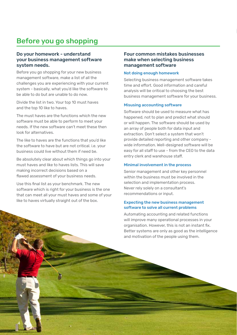## Before you go shopping

## Do your homework - understand your business management software system needs.

Before you go shopping for your new business management software, make a list of all the challenges you are experiencing with your current system - basically, what you'd like the software to be able to do but are unable to do now.

Divide the list in two. Your top 10 must haves and the top 10 like to haves.

The must haves are the functions which the new software must be able to perform to meet your needs. If the new software can't meet these then look for alternatives.

The like to haves are the functions that you'd like the software to have but are not critical. i.e. your business could live without them if need be.

Be absolutely clear about which things go into your must haves and like to haves lists. This will save making incorrect decisions based on a flawed assessment of your business needs.

Use this final list as your benchmark. The new software which is right for your business is the one that can meet all your must haves and some of your like to haves virtually straight out of the box.

4

## Four common mistakes businesses make when selecting business management software

#### Not doing enough homework

Selecting business management software takes time and effort. Good information and careful analysis will be critical to choosing the best business management software for your business.

#### Misusing accounting software

Software should be used to measure what has happened, not to plan and predict what should or will happen. The software should be used by an array of people both for data input and extraction. Don't select a system that won't provide detailed reporting and other company wide information. Well-designed software will be easy for all staff to use - from the CEO to the data entry clerk and warehouse staff.

#### Minimal involvement in the process

Senior management and other key personnel within the business must be involved in the selection and implementation process. Never rely solely on a consultant's recommendations or input.

### Expecting the new business management software to solve all current problems

Automating accounting and related functions will improve many operational processes in your organisation. However, this is not an instant fix. Better systems are only as good as the intelligence and motivation of the people using them.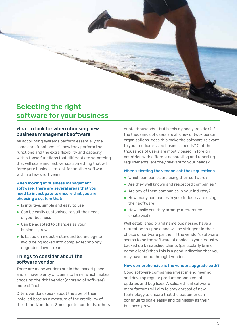## Selecting the right software for your business

## What to look for when choosing new business management software

All accounting systems perform essentially the same core functions. It's how they perform the functions and the extra flexibility and capacity within those functions that differentiate something that will scale and last, versus something that will force your business to look for another software within a few short years.

### When looking at business management software, there are several areas that you need to investigate to ensure that you are choosing a system that:

- Is intuitive, simple and easy to use
- Can be easily customised to suit the needs of your business
- Can be adapted to changes as your business grows
- Is based on industry standard technology to avoid being locked into complex technology upgrades downstream

## Things to consider about the software vendor

There are many vendors out in the market place and all have plenty of claims to fame, which makes choosing the right vendor (or brand of software) more difficult.

Often, vendors speak about the size of their installed base as a measure of the credibility of their brand/product. Some quote hundreds, others quote thousands - but is this a good yard stick? If the thousands of users are all one- or two- person organisations, does this make the software relevant to your medium-sized business needs? Or if the thousands of users are mostly based in foreign countries with different accounting and reporting requirements, are they relevant to your needs?

### When selecting the vendor, ask these questions

- Which companies are using their software?
- Are they well known and respected companies?
- Are any of them companies in your industry?
- How many companies in your industry are using their software
- How easily can they arrange a reference or site visit?

Well established brand name businesses have a reputation to uphold and will be stringent in their choice of software partner. If the vendor's software seems to be the software of choice in your industry backed up by satisfied clients (particularly brand name clients) then this is a good indication that you may have found the right vendor.

### How comprehensive is the vendors upgrade path?

Good software companies invest in engineering and develop regular product enhancements, updates and bug fixes. A solid, ethical software manufacturer will aim to stay abreast of new technology to ensure that the customer can continue to scale easily and painlessly as their business grows.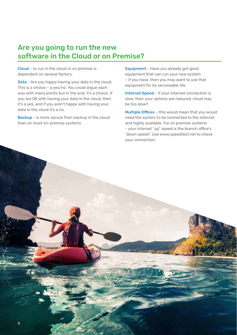## Are you going to run the new software in the Cloud or on Premise?

Cloud – to run in the cloud or on premise is dependent on several factors.

Data - Are you happy having your data in the cloud. This is a choice – a yes/no. You could argue each way with many points but in the end, it's a choice. If you are OK with having your data in the cloud, then it's a yes, and if you aren't happy with having your data in the cloud it's a no.

Backup - is more secure from backup in the cloud than on most on-premise systems

Equipment - Have you already got good equipment that can run your new system – if you have, then you may want to use that equipment for its serviceable life.

Internet Speed - if your internet connection is slow, then your options are reduced, cloud may be too slow?

Multiple Offices - this would mean that you would need the system to be connected to the internet and highly available. For on premise systems - your internet "up" speed is the branch office's "down speed". Use www.speedtest.net to check your connection.

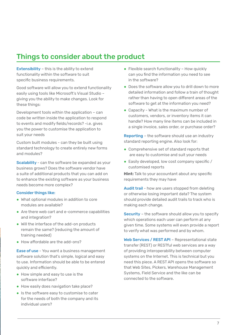## Things to consider about the product

Extensibility – this is the ability to extend functionality within the software to suit specific business requirements.

Good software will allow you to extend functionality easily using tools like Microsoft's Visual Studio – giving you the ability to make changes. Look for these things:

Development tools within the application – can code be written inside the application to respond to events and modify fields/records? -i.e. gives you the power to customise the application to suit your needs

Custom built modules - can they be built using standard technology to create entirely new forms and modules?

Scalability - can the software be expanded as your business grows? Does the software vendor have a suite of additional products that you can add on to enhance the existing software as your business needs become more complex?

## Consider things like:

- What optional modules in addition to core modules are available?
- Are there web cart and e-commerce capabilities and integration?
- Will the interface of the add-on products remain the same? (reducing the amount of training needed)
- How affordable are the add-ons?

Ease of use - You want a business management software solution that's simple, logical and easy to use. Information should be able to be entered quickly and efficiently.

- How simple and easy to use is the software interface?
- How easily does navigation take place?
- Is the software easy to customise to cater for the needs of both the company and its individual users?
- $\bullet$  Flexible search functionality How quickly can you find the information you need to see in the software?
- Does the software allow you to drill down to more detailed information and follow a train of thought rather than having to open different areas of the software to get at the information you need?
- Capacity What is the maximum number of customers, vendors, or inventory items it can handle? How many line items can be included in a single invoice, sales order, or purchase order?

Reporting – the software should use an industry standard reporting engine. Also look for:

- Comprehensive set of standard reports that are easy to customise and suit your needs
- $\bullet$  Easily developed, low cost company specific / customised reports

**Hint:** Talk to your accountant about any specific requirements they may have

Audit trail - how are users stopped from deleting or otherwise losing important data? The system should provide detailed audit trails to track who is making each change.

Security - the software should allow you to specify which operations each user can perform at any given time. Some systems will even provide a report to verify what was performed and by whom.

Web Services / REST API - Representational state transfer (REST) or RESTful web services are a way of providing interoperability between computer systems on the Internet. This is technical but you need this piece. A REST API opens the software so that Web Sites, Pickers, Warehouse Management Systems, Field Service and the like can be connected to the software.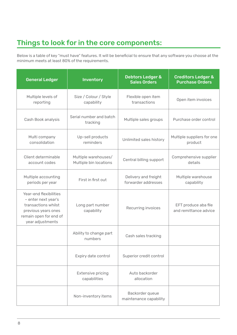## Things to look for in the core components:

Below is a table of key "must have" features. It will be beneficial to ensure that any software you choose at the minimum meets at least 80% of the requirements.

| <b>General Ledger</b>                                                                                                                     | Inventory                                      | <b>Debtors Ledger &amp;</b><br><b>Sales Orders</b> | <b>Creditors Ledger &amp;</b><br><b>Purchase Orders</b> |
|-------------------------------------------------------------------------------------------------------------------------------------------|------------------------------------------------|----------------------------------------------------|---------------------------------------------------------|
| Multiple levels of<br>reporting                                                                                                           | Size / Colour / Style<br>capability            | Flexible open item<br>transactions                 | Open item invoices                                      |
| Cash Book analysis                                                                                                                        | Serial number and batch<br>tracking            | Multiple sales groups                              | Purchase order control                                  |
| Multi company<br>consolidation                                                                                                            | Up-sell products<br>reminders                  | Unlimited sales history                            | Multiple suppliers for one<br>product                   |
| Client determinable<br>account codes                                                                                                      | Multiple warehouses/<br>Multiple bin locations | Central billing support                            | Comprehensive supplier<br>details                       |
| Multiple accounting<br>periods per year                                                                                                   | First in first out                             | Delivery and freight<br>forwarder addresses        | Multiple warehouse<br>capability                        |
| Year-end flexibilities<br>- enter next year's<br>transactions whilst<br>previous years ones<br>remain open for end of<br>year adjustments | Long part number<br>capability                 | Recurring invoices                                 | EFT produce aba file<br>and remittance advice           |
|                                                                                                                                           | Ability to change part<br>numbers              | Cash sales tracking                                |                                                         |
|                                                                                                                                           | Expiry date control                            | Superior credit control                            |                                                         |
|                                                                                                                                           | <b>Extensive pricing</b><br>capabilities       | Auto backorder<br>allocation                       |                                                         |
|                                                                                                                                           | Non-inventory items                            | Backorder queue<br>maintenance capability          |                                                         |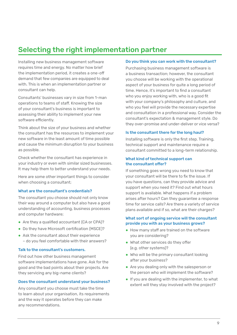## Selecting the right implementation partner

Installing new business management software requires time and energy. No matter how brief the implementation period, it creates a one-off demand that few companies are equipped to deal with. This is when an implementation partner or consultant can help.

Consultants' businesses vary in size from 1-man operations to teams of staff. Knowing the size of your consultant's business is important to assessing their ability to implement your new software efficiently.

Think about the size of your business and whether the consultant has the resources to implement your new software in the least amount of time possible and cause the minimum disruption to your business as possible.

Check whether the consultant has experience in your industry or even with similar sized businesses. It may help them to better understand your needs.

Here are some other important things to consider when choosing a consultant;

### What are the consultant's credentials?

The consultant you choose should not only know their way around a computer but also have a good understanding of accounting, business processes and computer hardware;

- Are they a qualified accountant (CA or CPA)?
- Do they have Microsoft certification (MSCE)?
- Ask the consultant about their experience – do you feel comfortable with their answers?

### Talk to the consultant's customers.

Find out how other business management software implementations have gone. Ask for the good and the bad points about their projects. Are they servicing any big-name clients?

## Does the consultant understand your business?

Any consultant you choose must take the time to learn about your organisation, its requirements and the way it operates before they can make any recommendations.

#### Do you think you can work with the consultant?

Purchasing business management software is a business transaction; however, the consultant you choose will be working with the operational aspect of your business for quite a long period of time. Hence, it's important to find a consultant who you enjoy working with, who is a good fit with your company's philosophy and culture, and who you feel will provide the necessary expertise and consultation in a professional way. Consider the consultant's expectation & management style. Do they over-promise and under-deliver or vice versa?

#### Is the consultant there for the long haul?

Installing software is only the first step. Training, technical support and maintenance require a consultant committed to a long-term relationship.

### What kind of technical support can the consultant offer?

If something goes wrong you need to know that your consultant will be there to fix the issue. If you have questions, can they provide advice and support when you need it? Find out what hours support is available. What happens if a problem arises after hours? Can they guarantee a response time for service calls? Are there a variety of service plans available and if so, what are their charges?

### What sort of ongoing service will the consultant provide you with as your business grows?

- How many staff are trained on the software you are considering?
- What other services do they offer (e.g. other systems)?
- Who will be the primary consultant looking after your business?
- Are you dealing only with the salesperson or the person who will implement the software?
- If you are dealing with the implementer, to what extent will they stay involved with the project?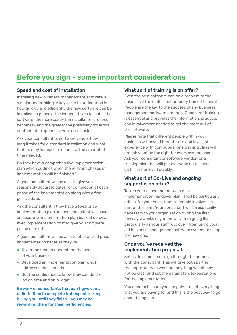## Before you sign - some important considerations

## Speed and cost of installation

Installing new business management software is a major undertaking. A key issue to understand is how quickly and efficiently the new software can be installed. In general, the longer it takes to install the software, the more costly the installation process becomes—and the greater the possibility for errors or other interruptions to your core business.

Ask your consultant or software vendor how long it takes for a standard installation and what factors may increase or decrease the amount of time needed.

Do they have a comprehensive implementation plan which outlines when the relevant phases of implementation will be finished?

A good consultant will be able to give you reasonably accurate dates for completion of each phase of the implementation along with a firm go-live date.

Ask the consultant if they have a fixed price implementation plan. A good consultant will have an accurate implementation plan backed up by a fixed implementation cost to give you complete peace of mind.

A good consultant will be able to offer a fixed price implementation because they've:

- Taken the time to understand the needs of your business
- Developed an implementation plan which addresses those needs
- Got the confidence to know they can do the job on time and on budget.

Be wary of consultants that can't give you a definite time to complete but expect to keep billing you until they finish – you may be rewarding them for their inefficiencies.

## What sort of training is on offer?

Even the best software can be a problem to the business if the staff is not properly trained to use it. People are the key to the success of any business management software program. Good staff training is essential and provides the information, practice, and involvement needed to get the most out of the software.

Please note that different people within your business will have different skills and levels of experience with computers; one training class will probably not be the right for every system user. Ask your consultant or software vendor for a training plan that will get everyone up to speed (at his or her level) quickly.

## What sort of Go-Live and ongoing support is on offer?

Talk to your consultant about a postimplementation handover plan. It will be particularly critical for your consultant to remain involved as part of this plan. Your consultant will be especially necessary to your organisation during the first few days/weeks of your new system going live, particularly as your staff "cut over" from using your old business management software system to using the new one.

## Once you've received the implementation proposal

Set aside some time to go through the proposal with the consultant. This will give both parties the opportunity to work out anything which may not be clear and set the parameters (expectations) for the implementation.

You need to be sure you are going to get everything that you are paying for and this is the best way to go about being sure.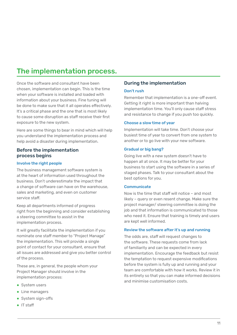## The implementation process.

Once the software and consultant have been chosen, implementation can begin. This is the time when your software is installed and loaded with information about your business. Fine tuning will be done to make sure that it all operates effectively. It's a critical phase and the one that is most likely to cause some disruption as staff receive their first exposure to the new system.

Here are some things to bear in mind which will help you understand the implementation process and help avoid a disaster during implementation.

## Before the implementation process begins

### Involve the right people

The business management software system is at the heart of information used throughout the business. Don't underestimate the impact that a change of software can have on the warehouse, sales and marketing, and even on customer service staff.

Keep all departments informed of progress right from the beginning and consider establishing a steering committee to assist in the implementation process.

It will greatly facilitate the implementation if you nominate one staff member to "Project Manage" the implementation. This will provide a single point of contact for your consultant, ensure that all issues are addressed and give you better control of the process.

These are, in general, the people whom your Project Manager should involve in the implementation process:

- System users
- Line managers
- System sign-offs
- IT staff

## During the implementation

### Don't rush

Remember that implementation is a one-off event. Getting it right is more important than halving implementation time. You'll only cause staff stress and resistance to change if you push too quickly.

### Choose a slow time of year

Implementation will take time. Don't choose your busiest time of year to convert from one system to another or to go live with your new software.

### Gradual or big bang?

Going live with a new system doesn't have to happen all at once. It may be better for your business to start using the software in a series of staged phases. Talk to your consultant about the best options for you.

#### **Communicate**

Now is the time that staff will notice – and most likely – query or even resent change. Make sure the project manager/ steering committee is doing the job and that information is communicated to those who need it. Ensure that training is timely and users are kept well informed.

#### Review the software after it's up and running

The odds are, staff will request changes to the software. These requests come from lack of familiarity and can be expected in every implementation. Encourage the feedback but resist the temptation to request expensive modifications before the system is fully up and running and your team are comfortable with how it works. Review it in its entirety so that you can make informed decisions and minimise customisation costs.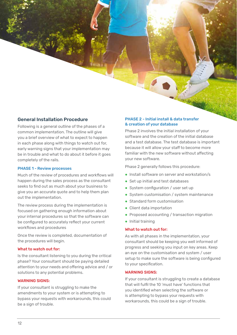## General Installation Procedure

Following is a general outline of the phases of a common implementation. The outline will give you a brief overview of what to expect to happen in each phase along with things to watch out for, early warning signs that your implementation may be in trouble and what to do about it before it goes completely of the rails.

### PHASE 1 - Review processes

Much of the review of procedures and workflows will happen during the sales process as the consultant seeks to find out as much about your business to give you an accurate quote and to help them plan out the implementation.

The review process during the implementation is focused on gathering enough information about your internal procedures so that the software can be configured to accurately reflect your current workflows and procedures

Once the review is completed, documentation of the procedures will begin.

#### What to watch out for:

Is the consultant listening to you during the critical phase? Your consultant should be paying detailed attention to your needs and offering advice and / or solutions to any potential problems.

### WARNING SIGNS:

If your consultant is struggling to make the amendments to your system or is attempting to bypass your requests with workarounds, this could be a sign of trouble.

## PHASE 2 - Initial install & data transfer & creation of your database

Phase 2 involves the initial installation of your software and the creation of the initial database and a test database. The test database is important because it will allow your staff to become more familiar with the new software without affecting your new software.

Phase 2 generally follows this procedure:

- Install software on server and workstation/s
- Set up initial and test databases
- System configuration / user set up
- System customisation / system maintenance
- Standard form customisation
- Client data importation
- Proposed accounting / transaction migration
- Initial training

### What to watch out for:

As with all phases in the implementation, your consultant should be keeping you well informed of progress and seeking you input on key areas. Keep an eye on the customisation and system / user setup to make sure the software is being configured to your specification.

#### WARNING SIGNS:

If your consultant is struggling to create a database that will fulfil the 10 'must have' functions that you identified when selecting the software or is attempting to bypass your requests with workarounds, this could be a sign of trouble.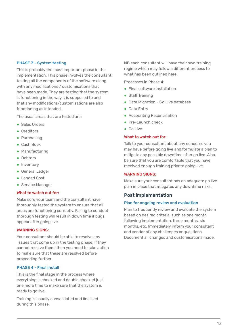## PHASE 3 - System testing

This is probably the most important phase in the implementation. This phase involves the consultant testing all the components of the software along with any modifications / customisations that have been made. They are testing that the system is functioning in the way it is supposed to and that any modifications/customisations are also functioning as intended.

The usual areas that are tested are:

- Sales Orders
- Creditors
- Purchasing
- Cash Book
- Manufacturing
- Debtors
- Inventory
- **General Ledger**
- Landed Cost
- Service Manager

#### What to watch out for:

Make sure your team and the consultant have thoroughly tested the system to ensure that all areas are functioning correctly. Failing to conduct thorough testing will result in down time if bugs appear after going live.

#### WARNING SIGNS:

Your consultant should be able to resolve any issues that come up in the testing phase. If they cannot resolve them, then you need to take action to make sure that these are resolved before proceeding further.

### PHASE 4 - Final install

This is the final stage in the process where everything is checked and double checked just one more time to make sure that the system is ready to go live.

Training is usually consolidated and finalised during this phase.

NB each consultant will have their own training regime which may follow a different process to what has been outlined here.

Processes in Phase 4:

- Final software installation
- Staff Training
- Data Migration Go Live database
- Data Entry
- Accounting Reconciliation
- Pre-Launch check
- Go Live

### What to watch out for:

Talk to your consultant about any concerns you may have before going live and formulate a plan to mitigate any possible downtime after go live. Also, be sure that you are comfortable that you have received enough training prior to going live.

#### WARNING SIGNS:

Make sure your consultant has an adequate go live plan in place that mitigates any downtime risks.

### Post implementation

#### Plan for ongoing review and evaluation

Plan to frequently review and evaluate the system based on desired criteria, such as one month following implementation, three months, six months, etc. Immediately inform your consultant and vendor of any challenges or questions. Document all changes and customisations made.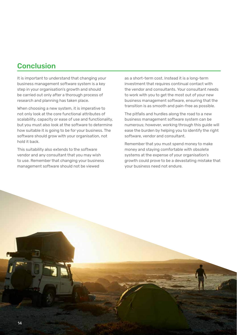## Conclusion

It is important to understand that changing your business management software system is a key step in your organisation's growth and should be carried out only after a thorough process of research and planning has taken place.

When choosing a new system, it is imperative to not only look at the core functional attributes of scalability, capacity or ease of use and functionality, but you must also look at the software to determine how suitable it is going to be for your business. The software should grow with your organisation, not hold it back.

This suitability also extends to the software vendor and any consultant that you may wish to use. Remember that changing your business management software should not be viewed

as a short-term cost. Instead it is a long-term investment that requires continual contact with the vendor and consultants. Your consultant needs to work with you to get the most out of your new business management software, ensuring that the transition is as smooth and pain-free as possible.

The pitfalls and hurdles along the road to a new business management software system can be numerous; however, working through this guide will ease the burden by helping you to identify the right software, vendor and consultant.

Remember that you must spend money to make money and staying comfortable with obsolete systems at the expense of your organisation's growth could prove to be a devastating mistake that your business need not endure.

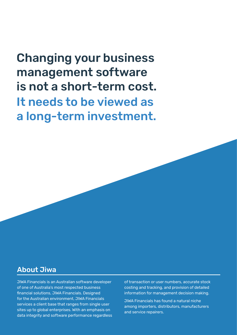# Changing your business management software is not a short-term cost. It needs to be viewed as a long-term investment.

## About Jiwa

JIWA Financials is an Australian software developer of one of Australia's most respected business financial solutions, JIWA Financials. Designed for the Australian environment, JIWA Financials services a client base that ranges from single user sites up to global enterprises. With an emphasis on data integrity and software performance regardless of transaction or user numbers, accurate stock costing and tracking, and provision of detailed information for management decision making.

JIWA Financials has found a natural niche among importers, distributors, manufacturers and service repairers.